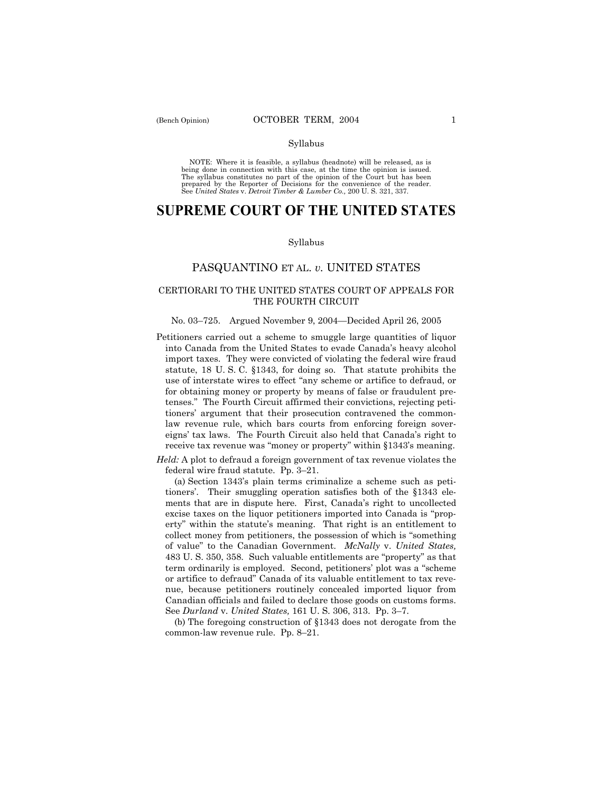NOTE: Where it is feasible, a syllabus (headnote) will be released, as is being done in connection with this case, at the time the opinion is issued. The syllabus constitutes no part of the opinion of the Court but has been<br>prepared by the Reporter of Decisions for the convenience of the reader.<br>See United States v. Detroit Timber & Lumber Co., 200 U. S. 321, 337.

# **SUPREME COURT OF THE UNITED STATES**

### Syllabus

# PASQUANTINO ET AL. *v.* UNITED STATES

# CERTIORARI TO THE UNITED STATES COURT OF APPEALS FOR THE FOURTH CIRCUIT

## No. 03–725. Argued November 9, 2004–Decided April 26, 2005

Petitioners carried out a scheme to smuggle large quantities of liquor into Canada from the United States to evade Canadaís heavy alcohol import taxes. They were convicted of violating the federal wire fraud statute, 18 U. S. C. ß1343, for doing so. That statute prohibits the use of interstate wires to effect "any scheme or artifice to defraud, or for obtaining money or property by means of false or fraudulent pretenses." The Fourth Circuit affirmed their convictions, rejecting petitioners' argument that their prosecution contravened the commonlaw revenue rule, which bars courts from enforcing foreign sovereigns' tax laws. The Fourth Circuit also held that Canada's right to receive tax revenue was "money or property" within  $§1343's$  meaning.

*Held:* A plot to defraud a foreign government of tax revenue violates the federal wire fraud statute. Pp.  $3-21$ .

 (a) Section 1343ís plain terms criminalize a scheme such as petitioners'. Their smuggling operation satisfies both of the §1343 elements that are in dispute here. First, Canadaís right to uncollected excise taxes on the liquor petitioners imported into Canada is "property" within the statute's meaning. That right is an entitlement to collect money from petitioners, the possession of which is "something" of valueî to the Canadian Government. *McNally* v. *United States,* 483 U.S. 350, 358. Such valuable entitlements are "property" as that term ordinarily is employed. Second, petitioners' plot was a "scheme or artifice to defraudî Canada of its valuable entitlement to tax revenue, because petitioners routinely concealed imported liquor from Canadian officials and failed to declare those goods on customs forms. See *Durland* v. *United States*, 161 U. S. 306, 313. Pp. 3-7.

 (b) The foregoing construction of ß1343 does not derogate from the common-law revenue rule. Pp. 8-21.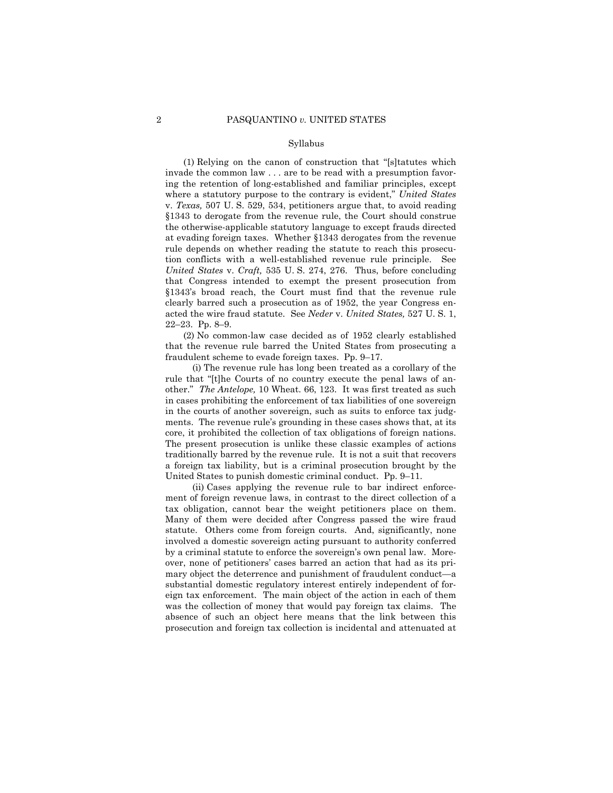$(1)$  Relying on the canon of construction that "[s]tatutes which invade the common law . . . are to be read with a presumption favoring the retention of long-established and familiar principles, except where a statutory purpose to the contrary is evident," *United States* v. *Texas,* 507 U. S. 529, 534, petitioners argue that, to avoid reading ß1343 to derogate from the revenue rule, the Court should construe the otherwise-applicable statutory language to except frauds directed at evading foreign taxes. Whether ß1343 derogates from the revenue rule depends on whether reading the statute to reach this prosecution conflicts with a well-established revenue rule principle. See *United States* v. *Craft,* 535 U. S. 274, 276. Thus, before concluding that Congress intended to exempt the present prosecution from §1343's broad reach, the Court must find that the revenue rule clearly barred such a prosecution as of 1952, the year Congress enacted the wire fraud statute. See *Neder* v. *United States,* 527 U. S. 1,  $22 - 23$ . Pp. 8-9.

 (2) No common-law case decided as of 1952 clearly established that the revenue rule barred the United States from prosecuting a fraudulent scheme to evade foreign taxes. Pp.  $9-17$ .

 (i) The revenue rule has long been treated as a corollary of the rule that "[t]he Courts of no country execute the penal laws of another.î *The Antelope,* 10 Wheat. 66, 123. It was first treated as such in cases prohibiting the enforcement of tax liabilities of one sovereign in the courts of another sovereign, such as suits to enforce tax judgments. The revenue rule's grounding in these cases shows that, at its core, it prohibited the collection of tax obligations of foreign nations. The present prosecution is unlike these classic examples of actions traditionally barred by the revenue rule. It is not a suit that recovers a foreign tax liability, but is a criminal prosecution brought by the United States to punish domestic criminal conduct. Pp. 9–11.

 (ii) Cases applying the revenue rule to bar indirect enforcement of foreign revenue laws, in contrast to the direct collection of a tax obligation, cannot bear the weight petitioners place on them. Many of them were decided after Congress passed the wire fraud statute. Others come from foreign courts. And, significantly, none involved a domestic sovereign acting pursuant to authority conferred by a criminal statute to enforce the sovereign's own penal law. Moreover, none of petitionersí cases barred an action that had as its primary object the deterrence and punishment of fraudulent conduct—a substantial domestic regulatory interest entirely independent of foreign tax enforcement. The main object of the action in each of them was the collection of money that would pay foreign tax claims. The absence of such an object here means that the link between this prosecution and foreign tax collection is incidental and attenuated at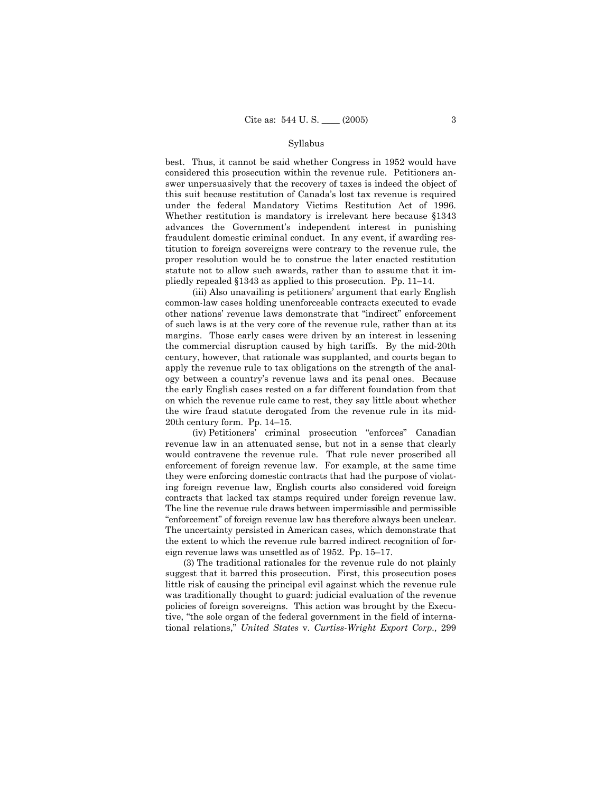best. Thus, it cannot be said whether Congress in 1952 would have considered this prosecution within the revenue rule. Petitioners answer unpersuasively that the recovery of taxes is indeed the object of this suit because restitution of Canadaís lost tax revenue is required under the federal Mandatory Victims Restitution Act of 1996. Whether restitution is mandatory is irrelevant here because ß1343 advances the Government's independent interest in punishing fraudulent domestic criminal conduct. In any event, if awarding restitution to foreign sovereigns were contrary to the revenue rule, the proper resolution would be to construe the later enacted restitution statute not to allow such awards, rather than to assume that it impliedly repealed  $§1343$  as applied to this prosecution. Pp. 11–14.

(iii) Also unavailing is petitioners' argument that early English common-law cases holding unenforceable contracts executed to evade other nations' revenue laws demonstrate that "indirect" enforcement of such laws is at the very core of the revenue rule, rather than at its margins. Those early cases were driven by an interest in lessening the commercial disruption caused by high tariffs. By the mid-20th century, however, that rationale was supplanted, and courts began to apply the revenue rule to tax obligations on the strength of the analogy between a countryís revenue laws and its penal ones. Because the early English cases rested on a far different foundation from that on which the revenue rule came to rest, they say little about whether the wire fraud statute derogated from the revenue rule in its mid-20th century form. Pp.  $14-15$ .

(iv) Petitioners' criminal prosecution "enforces" Canadian revenue law in an attenuated sense, but not in a sense that clearly would contravene the revenue rule. That rule never proscribed all enforcement of foreign revenue law. For example, at the same time they were enforcing domestic contracts that had the purpose of violating foreign revenue law, English courts also considered void foreign contracts that lacked tax stamps required under foreign revenue law. The line the revenue rule draws between impermissible and permissible "enforcement" of foreign revenue law has therefore always been unclear. The uncertainty persisted in American cases, which demonstrate that the extent to which the revenue rule barred indirect recognition of foreign revenue laws was unsettled as of  $1952$ . Pp.  $15-17$ .

 (3) The traditional rationales for the revenue rule do not plainly suggest that it barred this prosecution. First, this prosecution poses little risk of causing the principal evil against which the revenue rule was traditionally thought to guard: judicial evaluation of the revenue policies of foreign sovereigns. This action was brought by the Executive, "the sole organ of the federal government in the field of international relations," *United States* v. *Curtiss-Wright Export Corp.*, 299